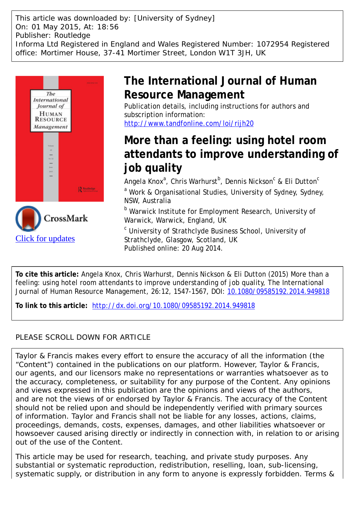This article was downloaded by: [University of Sydney] On: 01 May 2015, At: 18:56 Publisher: Routledge Informa Ltd Registered in England and Wales Registered Number: 1072954 Registered office: Mortimer House, 37-41 Mortimer Street, London W1T 3JH, UK



## **The International Journal of Human Resource Management**

Publication details, including instructions for authors and subscription information: http://www.tandfonline.com/loi/riih20

# **More than a feeling: using hotel room attendants to improve understanding of job quality**

Angela Knox $^{\rm a}$ , Chris Warhurst $^{\rm b}$ , Dennis Nickson $^{\rm c}$  & Eli Dutton $^{\rm c}$ <sup>a</sup> Work & Organisational Studies, University of Sydney, Sydney, NSW, Australia

**b** Warwick Institute for Employment Research, University of Warwick, Warwick, England, UK

<sup>c</sup> University of Strathclyde Business School, University of Strathclyde, Glasgow, Scotland, UK Published online: 20 Aug 2014.

**To cite this article:** Angela Knox, Chris Warhurst, Dennis Nickson & Eli Dutton (2015) More than a feeling: using hotel room attendants to improve understanding of job quality, The International Journal of Human Resource Management, 26:12, 1547-1567, DOI: [10.1080/09585192.2014.949818](http://www.tandfonline.com/action/showCitFormats?doi=10.1080/09585192.2014.949818)

**To link to this article:** <http://dx.doi.org/10.1080/09585192.2014.949818>

### PLEASE SCROLL DOWN FOR ARTICLE

Taylor & Francis makes every effort to ensure the accuracy of all the information (the "Content") contained in the publications on our platform. However, Taylor & Francis, our agents, and our licensors make no representations or warranties whatsoever as to the accuracy, completeness, or suitability for any purpose of the Content. Any opinions and views expressed in this publication are the opinions and views of the authors, and are not the views of or endorsed by Taylor & Francis. The accuracy of the Content should not be relied upon and should be independently verified with primary sources of information. Taylor and Francis shall not be liable for any losses, actions, claims, proceedings, demands, costs, expenses, damages, and other liabilities whatsoever or howsoever caused arising directly or indirectly in connection with, in relation to or arising out of the use of the Content.

This article may be used for research, teaching, and private study purposes. Any substantial or systematic reproduction, redistribution, reselling, loan, sub-licensing, systematic supply, or distribution in any form to anyone is expressly forbidden. Terms &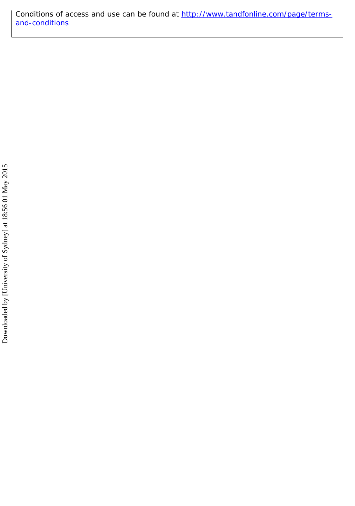Conditions of access and use can be found at [http://www.tandfonline.com/page/terms](http://www.tandfonline.com/page/terms-and-conditions)[and-conditions](http://www.tandfonline.com/page/terms-and-conditions)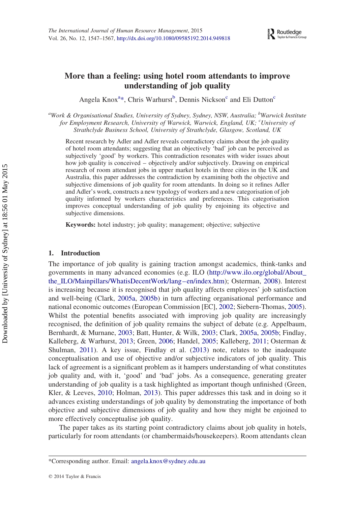

### More than a feeling: using hotel room attendants to improve understanding of job quality

Angela Knox<sup>a</sup>\*, Chris Warhurst<sup>b</sup>, Dennis Nickson<sup>c</sup> and Eli Dutton<sup>c</sup>

<sup>a</sup>Work & Organisational Studies, University of Sydney, Sydney, NSW, Australia; <sup>b</sup>Warwick Institute for Employment Research, University of Warwick, Warwick, England, UK; <sup>c</sup>University of Strathclyde Business School, University of Strathclyde, Glasgow, Scotland, UK

Recent research by Adler and Adler reveals contradictory claims about the job quality of hotel room attendants; suggesting that an objectively 'bad' job can be perceived as subjectively 'good' by workers. This contradiction resonates with wider issues about how job quality is conceived – objectively and/or subjectively. Drawing on empirical research of room attendant jobs in upper market hotels in three cities in the UK and Australia, this paper addresses the contradiction by examining both the objective and subjective dimensions of job quality for room attendants. In doing so it refines Adler and Adler's work, constructs a new typology of workers and a new categorisation of job quality informed by workers characteristics and preferences. This categorisation improves conceptual understanding of job quality by enjoining its objective and subjective dimensions.

Keywords: hotel industry; job quality; management; objective; subjective

#### 1. Introduction

The importance of job quality is gaining traction amongst academics, think-tanks and governments in many advanced economies (e.g. ILO ([http://www.ilo.org/global/About\\_](http://www.ilo.org/global/About_the_ILO/Mainpillars/WhatisDecentWork/lang–en/index.htm) [the\\_ILO/Mainpillars/WhatisDecentWork/lang –en/index.htm](http://www.ilo.org/global/About_the_ILO/Mainpillars/WhatisDecentWork/lang–en/index.htm)); Osterman, [2008\)](#page-21-0). Interest is increasing because it is recognised that job quality affects employees' job satisfaction and well-being (Clark, [2005a](#page-20-0), [2005b](#page-20-0)) in turn affecting organisational performance and national economic outcomes (European Commission [EC], [2002](#page-20-0); Siebern-Thomas, [2005](#page-21-0)). Whilst the potential benefits associated with improving job quality are increasingly recognised, the definition of job quality remains the subject of debate (e.g. Appelbaum, Bernhardt, & Murnane, [2003](#page-20-0); Batt, Hunter, & Wilk, [2003](#page-20-0); Clark, [2005a](#page-20-0), [2005b](#page-20-0); Findlay, Kalleberg, & Warhurst, [2013](#page-20-0); Green, [2006;](#page-20-0) Handel, [2005](#page-21-0); Kalleberg, [2011;](#page-21-0) Osterman & Shulman, [2011](#page-21-0)). A key issue, Findlay et al. [\(2013](#page-20-0)) note, relates to the inadequate conceptualisation and use of objective and/or subjective indicators of job quality. This lack of agreement is a significant problem as it hampers understanding of what constitutes job quality and, with it, 'good' and 'bad' jobs. As a consequence, generating greater understanding of job quality is a task highlighted as important though unfinished (Green, Kler, & Leeves, [2010;](#page-20-0) Holman, [2013\)](#page-21-0). This paper addresses this task and in doing so it advances existing understandings of job quality by demonstrating the importance of both objective and subjective dimensions of job quality and how they might be enjoined to more effectively conceptualise job quality.

The paper takes as its starting point contradictory claims about job quality in hotels, particularly for room attendants (or chambermaids/housekeepers). Room attendants clean

<sup>\*</sup>Corresponding author. Email: [angela.knox@sydney.edu.au](mailto:angela.knox@sydney.edu.au)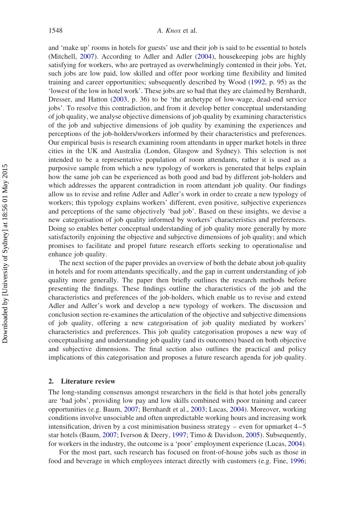and 'make up' rooms in hotels for guests' use and their job is said to be essential to hotels (Mitchell, [2007](#page-21-0)). According to Adler and Adler ([2004](#page-20-0)), housekeeping jobs are highly satisfying for workers, who are portrayed as overwhelmingly contented in their jobs. Yet, such jobs are low paid, low skilled and offer poor working time flexibility and limited training and career opportunities; subsequently described by Wood ([1992,](#page-22-0) p. 95) as the 'lowest of the low in hotel work'. These jobs are so bad that they are claimed by Bernhardt, Dresser, and Hatton ([2003,](#page-20-0) p. 36) to be 'the archetype of low-wage, dead-end service jobs'. To resolve this contradiction, and from it develop better conceptual understanding of job quality, we analyse objective dimensions of job quality by examining characteristics of the job and subjective dimensions of job quality by examining the experiences and perceptions of the job-holders/workers informed by their characteristics and preferences. Our empirical basis is research examining room attendants in upper market hotels in three cities in the UK and Australia (London, Glasgow and Sydney). This selection is not intended to be a representative population of room attendants, rather it is used as a purposive sample from which a new typology of workers is generated that helps explain how the same job can be experienced as both good and bad by different job-holders and which addresses the apparent contradiction in room attendant job quality. Our findings allow us to revise and refine Adler and Adler's work in order to create a new typology of workers; this typology explains workers' different, even positive, subjective experiences and perceptions of the same objectively 'bad job'. Based on these insights, we devise a new categorisation of job quality informed by workers' characteristics and preferences. Doing so enables better conceptual understanding of job quality more generally by more satisfactorily enjoining the objective and subjective dimensions of job quality; and which promises to facilitate and propel future research efforts seeking to operationalise and enhance job quality.

The next section of the paper provides an overview of both the debate about job quality in hotels and for room attendants specifically, and the gap in current understanding of job quality more generally. The paper then briefly outlines the research methods before presenting the findings. These findings outline the characteristics of the job and the characteristics and preferences of the job-holders, which enable us to revise and extend Adler and Adler's work and develop a new typology of workers. The discussion and conclusion section re-examines the articulation of the objective and subjective dimensions of job quality, offering a new categorisation of job quality mediated by workers' characteristics and preferences. This job quality categorisation proposes a new way of conceptualising and understanding job quality (and its outcomes) based on both objective and subjective dimensions. The final section also outlines the practical and policy implications of this categorisation and proposes a future research agenda for job quality.

#### 2. Literature review

The long-standing consensus amongst researchers in the field is that hotel jobs generally are 'bad jobs', providing low pay and low skills combined with poor training and career opportunities (e.g. Baum, [2007](#page-20-0); Bernhardt et al., [2003](#page-20-0); Lucas, [2004\)](#page-21-0). Moreover, working conditions involve unsociable and often unpredictable working hours and increasing work intensification, driven by a cost minimisation business strategy – even for upmarket  $4-5$ star hotels (Baum, [2007](#page-20-0); Iverson & Deery, [1997](#page-21-0); Timo & Davidson, [2005](#page-21-0)). Subsequently, for workers in the industry, the outcome is a 'poor' employment experience (Lucas, [2004](#page-21-0)).

For the most part, such research has focused on front-of-house jobs such as those in food and beverage in which employees interact directly with customers (e.g. Fine, [1996](#page-20-0);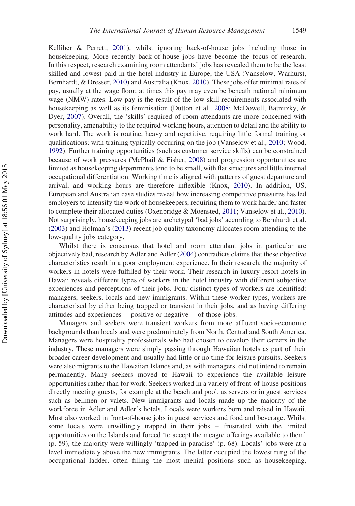Kelliher & Perrett, [2001](#page-21-0)), whilst ignoring back-of-house jobs including those in housekeeping. More recently back-of-house jobs have become the focus of research. In this respect, research examining room attendants' jobs has revealed them to be the least skilled and lowest paid in the hotel industry in Europe, the USA (Vanselow, Warhurst, Bernhardt, & Dresser, [2010\)](#page-21-0) and Australia (Knox, [2010](#page-21-0)). These jobs offer minimal rates of pay, usually at the wage floor; at times this pay may even be beneath national minimum wage (NMW) rates. Low pay is the result of the low skill requirements associated with housekeeping as well as its feminisation (Dutton et al., [2008](#page-20-0); McDowell, Batnitzky, & Dyer, [2007](#page-21-0)). Overall, the 'skills' required of room attendants are more concerned with personality, amenability to the required working hours, attention to detail and the ability to work hard. The work is routine, heavy and repetitive, requiring little formal training or qualifications; with training typically occurring on the job (Vanselow et al., [2010;](#page-21-0) Wood, [1992](#page-22-0)). Further training opportunities (such as customer service skills) can be constrained because of work pressures (McPhail & Fisher, [2008](#page-21-0)) and progression opportunities are limited as housekeeping departments tend to be small, with flat structures and little internal occupational differentiation. Working time is aligned with patterns of guest departure and arrival, and working hours are therefore inflexible (Knox, [2010\)](#page-21-0). In addition, US, European and Australian case studies reveal how increasing competitive pressures has led employers to intensify the work of housekeepers, requiring them to work harder and faster to complete their allocated duties (Oxenbridge & Moensted, [2011;](#page-21-0) Vanselow et al., [2010](#page-21-0)). Not surprisingly, housekeeping jobs are archetypal 'bad jobs' according to Bernhardt et al. ([2003\)](#page-20-0) and Holman's [\(2013](#page-21-0)) recent job quality taxonomy allocates room attending to the low-quality jobs category.

Whilst there is consensus that hotel and room attendant jobs in particular are objectively bad, research by Adler and Adler ([2004\)](#page-20-0) contradicts claims that these objective characteristics result in a poor employment experience. In their research, the majority of workers in hotels were fulfilled by their work. Their research in luxury resort hotels in Hawaii reveals different types of workers in the hotel industry with different subjective experiences and perceptions of their jobs. Four distinct types of workers are identified: managers, seekers, locals and new immigrants. Within these worker types, workers are characterised by either being trapped or transient in their jobs, and as having differing attitudes and experiences – positive or negative – of those jobs.

Managers and seekers were transient workers from more affluent socio-economic backgrounds than locals and were predominately from North, Central and South America. Managers were hospitality professionals who had chosen to develop their careers in the industry. These managers were simply passing through Hawaiian hotels as part of their broader career development and usually had little or no time for leisure pursuits. Seekers were also migrants to the Hawaiian Islands and, as with managers, did not intend to remain permanently. Many seekers moved to Hawaii to experience the available leisure opportunities rather than for work. Seekers worked in a variety of front-of-house positions directly meeting guests, for example at the beach and pool, as servers or in guest services such as bellmen or valets. New immigrants and locals made up the majority of the workforce in Adler and Adler's hotels. Locals were workers born and raised in Hawaii. Most also worked in front-of-house jobs in guest services and food and beverage. Whilst some locals were unwillingly trapped in their jobs – frustrated with the limited opportunities on the Islands and forced 'to accept the meagre offerings available to them' (p. 59), the majority were willingly 'trapped in paradise' (p. 68). Locals' jobs were at a level immediately above the new immigrants. The latter occupied the lowest rung of the occupational ladder, often filling the most menial positions such as housekeeping,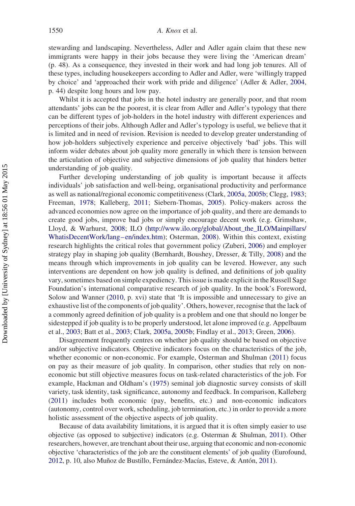stewarding and landscaping. Nevertheless, Adler and Adler again claim that these new immigrants were happy in their jobs because they were living the 'American dream' (p. 48). As a consequence, they invested in their work and had long job tenures. All of these types, including housekeepers according to Adler and Adler, were 'willingly trapped by choice' and 'approached their work with pride and diligence' (Adler & Adler, [2004](#page-20-0), p. 44) despite long hours and low pay.

Whilst it is accepted that jobs in the hotel industry are generally poor, and that room attendants' jobs can be the poorest, it is clear from Adler and Adler's typology that there can be different types of job-holders in the hotel industry with different experiences and perceptions of their jobs. Although Adler and Adler's typology is useful, we believe that it is limited and in need of revision. Revision is needed to develop greater understanding of how job-holders subjectively experience and perceive objectively 'bad' jobs. This will inform wider debates about job quality more generally in which there is tension between the articulation of objective and subjective dimensions of job quality that hinders better understanding of job quality.

Further developing understanding of job quality is important because it affects individuals' job satisfaction and well-being, organisational productivity and performance as well as national/regional economic competitiveness (Clark, [2005a](#page-20-0), [2005b;](#page-20-0) Clegg, [1983](#page-20-0); Freeman, [1978](#page-20-0); Kalleberg, [2011](#page-21-0); Siebern-Thomas, [2005\)](#page-21-0). Policy-makers across the advanced economies now agree on the importance of job quality, and there are demands to create good jobs, improve bad jobs or simply encourage decent work (e.g. Grimshaw, Lloyd, & Warhurst, [2008;](#page-20-0) ILO [\(http://www.ilo.org/global/About\\_the\\_ILO/Mainpillars/](http://www.ilo.org/global/About_the_ILO/Mainpillars/WhatisDecentWork/lang–en/index.htm) [WhatisDecentWork/lang –en/index.htm](http://www.ilo.org/global/About_the_ILO/Mainpillars/WhatisDecentWork/lang–en/index.htm)); Osterman, [2008\)](#page-21-0). Within this context, existing research highlights the critical roles that government policy (Zuberi, [2006\)](#page-22-0) and employer strategy play in shaping job quality (Bernhardt, Boushey, Dresser, & Tilly, [2008\)](#page-20-0) and the means through which improvements in job quality can be levered. However, any such interventions are dependent on how job quality is defined, and definitions of job quality vary, sometimes based on simple expediency. This issue is made explicit in the Russell Sage Foundation's international comparative research of job quality. In the book's Foreword, Solow and Wanner ([2010,](#page-21-0) p. xvi) state that 'It is impossible and unnecessary to give an exhaustive list of the components of job quality'. Others, however, recognise that the lack of a commonly agreed definition of job quality is a problem and one that should no longer be sidestepped if job quality is to be properly understood, let alone improved (e.g. Appelbaum et al., [2003;](#page-20-0) Batt et al., [2003;](#page-20-0) Clark, [2005a,](#page-20-0) [2005b;](#page-20-0) Findlay et al., [2013;](#page-20-0) Green, [2006](#page-20-0)).

Disagreement frequently centres on whether job quality should be based on objective and/or subjective indicators. Objective indicators focus on the characteristics of the job, whether economic or non-economic. For example, Osterman and Shulman ([2011\)](#page-21-0) focus on pay as their measure of job quality. In comparison, other studies that rely on noneconomic but still objective measures focus on task-related characteristics of the job. For example, Hackman and Oldham's ([1975\)](#page-21-0) seminal job diagnostic survey consists of skill variety, task identity, task significance, autonomy and feedback. In comparison, Kalleberg ([2011\)](#page-21-0) includes both economic (pay, benefits, etc.) and non-economic indicators (autonomy, control over work, scheduling, job termination, etc.) in order to provide a more holistic assessment of the objective aspects of job quality.

Because of data availability limitations, it is argued that it is often simply easier to use objective (as opposed to subjective) indicators (e.g. Osterman & Shulman, [2011](#page-21-0)). Other researchers, however, are trenchant about their use, arguing that economic and non-economic objective 'characteristics of the job are the constituent elements' of job quality (Eurofound, [2012,](#page-20-0) p. 10, also Muñoz de Bustillo, Fernández-Macías, Esteve, & Antón, [2011\)](#page-21-0).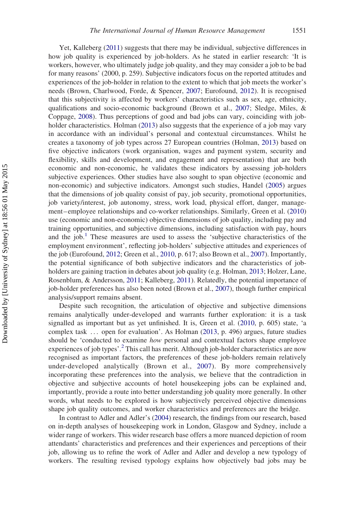Yet, Kalleberg [\(2011](#page-21-0)) suggests that there may be individual, subjective differences in how job quality is experienced by job-holders. As he stated in earlier research: 'It is workers, however, who ultimately judge job quality, and they may consider a job to be bad for many reasons' (2000, p. 259). Subjective indicators focus on the reported attitudes and experiences of the job-holder in relation to the extent to which that job meets the worker's needs (Brown, Charlwood, Forde, & Spencer, [2007;](#page-20-0) Eurofound, [2012\)](#page-20-0). It is recognised that this subjectivity is affected by workers' characteristics such as sex, age, ethnicity, qualifications and socio-economic background (Brown et al., [2007](#page-20-0); Sledge, Miles, & Coppage, [2008\)](#page-21-0). Thus perceptions of good and bad jobs can vary, coinciding with job-holder characteristics. Holman ([2013\)](#page-21-0) also suggests that the experience of a job may vary in accordance with an individual's personal and contextual circumstances. Whilst he creates a taxonomy of job types across 27 European countries (Holman, [2013\)](#page-21-0) based on five objective indicators (work organisation, wages and payment system, security and flexibility, skills and development, and engagement and representation) that are both economic and non-economic, he validates these indicators by assessing job-holders subjective experiences. Other studies have also sought to span objective (economic and non-economic) and subjective indicators. Amongst such studies, Handel ([2005\)](#page-21-0) argues that the dimensions of job quality consist of pay, job security, promotional opportunities, job variety/interest, job autonomy, stress, work load, physical effort, danger, management –employee relationships and co-worker relationships. Similarly, Green et al. ([2010\)](#page-20-0) use (economic and non-economic) objective dimensions of job quality, including pay and training opportunities, and subjective dimensions, including satisfaction with pay, hours and the job.<sup>[1](#page-19-0)</sup> These measures are used to assess the 'subjective characteristics of the employment environment', reflecting job-holders' subjective attitudes and experiences of the job (Eurofound, [2012](#page-20-0); Green et al., [2010,](#page-20-0) p. 617; also Brown et al., [2007](#page-20-0)). Importantly, the potential significance of both subjective indicators and the characteristics of jobholders are gaining traction in debates about job quality (e.g. Holman, [2013;](#page-21-0) Holzer, Lane, Rosenblum, & Andersson, [2011;](#page-21-0) Kalleberg, [2011\)](#page-21-0). Relatedly, the potential importance of job-holder preferences has also been noted (Brown et al., [2007](#page-20-0)), though further empirical analysis/support remains absent.

Despite such recognition, the articulation of objective and subjective dimensions remains analytically under-developed and warrants further exploration: it is a task signalled as important but as yet unfinished. It is, Green et al. ([2010,](#page-20-0) p. 605) state, 'a complex task ... open for evaluation'. As Holman [\(2013,](#page-21-0) p. 496) argues, future studies should be 'conducted to examine how personal and contextual factors shape employee experiences of job types'.<sup>[2](#page-19-0)</sup> This call has merit. Although job-holder characteristics are now recognised as important factors, the preferences of these job-holders remain relatively under-developed analytically (Brown et al., [2007](#page-20-0)). By more comprehensively incorporating these preferences into the analysis, we believe that the contradiction in objective and subjective accounts of hotel housekeeping jobs can be explained and, importantly, provide a route into better understanding job quality more generally. In other words, what needs to be explored is how subjectively perceived objective dimensions shape job quality outcomes, and worker characteristics and preferences are the bridge.

In contrast to Adler and Adler's ([2004\)](#page-20-0) research, the findings from our research, based on in-depth analyses of housekeeping work in London, Glasgow and Sydney, include a wider range of workers. This wider research base offers a more nuanced depiction of room attendants' characteristics and preferences and their experiences and perceptions of their job, allowing us to refine the work of Adler and Adler and develop a new typology of workers. The resulting revised typology explains how objectively bad jobs may be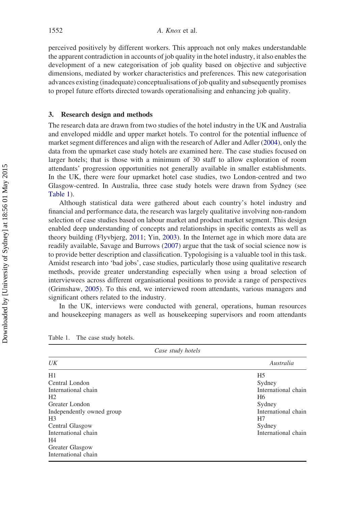perceived positively by different workers. This approach not only makes understandable the apparent contradiction in accounts of job quality in the hotel industry, it also enables the development of a new categorisation of job quality based on objective and subjective dimensions, mediated by worker characteristics and preferences. This new categorisation advances existing (inadequate) conceptualisations of job quality and subsequently promises to propel future efforts directed towards operationalising and enhancing job quality.

#### 3. Research design and methods

The research data are drawn from two studies of the hotel industry in the UK and Australia and enveloped middle and upper market hotels. To control for the potential influence of market segment differences and align with the research of Adler and Adler [\(2004](#page-20-0)), only the data from the upmarket case study hotels are examined here. The case studies focused on larger hotels; that is those with a minimum of 30 staff to allow exploration of room attendants' progression opportunities not generally available in smaller establishments. In the UK, there were four upmarket hotel case studies, two London-centred and two Glasgow-centred. In Australia, three case study hotels were drawn from Sydney (see Table 1).

Although statistical data were gathered about each country's hotel industry and financial and performance data, the research was largely qualitative involving non-random selection of case studies based on labour market and product market segment. This design enabled deep understanding of concepts and relationships in specific contexts as well as theory building (Flyvbjerg, [2011;](#page-20-0) Yin, [2003\)](#page-22-0). In the Internet age in which more data are readily available, Savage and Burrows [\(2007](#page-21-0)) argue that the task of social science now is to provide better description and classification. Typologising is a valuable tool in this task. Amidst research into 'bad jobs', case studies, particularly those using qualitative research methods, provide greater understanding especially when using a broad selection of interviewees across different organisational positions to provide a range of perspectives (Grimshaw, [2005](#page-20-0)). To this end, we interviewed room attendants, various managers and significant others related to the industry.

In the UK, interviews were conducted with general, operations, human resources and housekeeping managers as well as housekeeping supervisors and room attendants

| Case study hotels                                                                                                                                                                                |                                                                                                                                           |  |
|--------------------------------------------------------------------------------------------------------------------------------------------------------------------------------------------------|-------------------------------------------------------------------------------------------------------------------------------------------|--|
| UK                                                                                                                                                                                               | Australia                                                                                                                                 |  |
| H1<br>Central London<br>International chain<br>H2<br>Greater London<br>Independently owned group<br>H3<br>Central Glasgow<br>International chain<br>H4<br>Greater Glasgow<br>International chain | H <sub>5</sub><br>Sydney<br>International chain<br>H <sub>6</sub><br>Sydney<br>International chain<br>H7<br>Sydney<br>International chain |  |

Table 1. The case study hotels.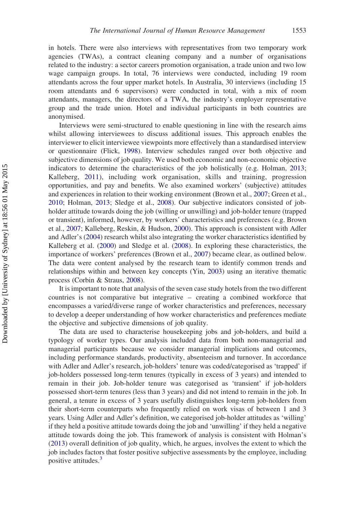in hotels. There were also interviews with representatives from two temporary work agencies (TWAs), a contract cleaning company and a number of organisations related to the industry: a sector careers promotion organisation, a trade union and two low wage campaign groups. In total, 76 interviews were conducted, including 19 room attendants across the four upper market hotels. In Australia, 30 interviews (including 15 room attendants and 6 supervisors) were conducted in total, with a mix of room attendants, managers, the directors of a TWA, the industry's employer representative group and the trade union. Hotel and individual participants in both countries are anonymised.

Interviews were semi-structured to enable questioning in line with the research aims whilst allowing interviewees to discuss additional issues. This approach enables the interviewer to elicit interviewee viewpoints more effectively than a standardised interview or questionnaire (Flick, [1998\)](#page-20-0). Interview schedules ranged over both objective and subjective dimensions of job quality. We used both economic and non-economic objective indicators to determine the characteristics of the job holistically (e.g. Holman, [2013](#page-21-0); Kalleberg, [2011\)](#page-21-0), including work organisation, skills and training, progression opportunities, and pay and benefits. We also examined workers' (subjective) attitudes and experiences in relation to their working environment (Brown et al., [2007](#page-20-0); Green et al., [2010](#page-20-0); Holman, [2013;](#page-21-0) Sledge et al., [2008\)](#page-21-0). Our subjective indicators consisted of jobholder attitude towards doing the job (willing or unwilling) and job-holder tenure (trapped or transient), informed, however, by workers' characteristics and preferences (e.g. Brown et al., [2007](#page-20-0); Kalleberg, Reskin, & Hudson, [2000](#page-21-0)). This approach is consistent with Adler and Adler's [\(2004](#page-20-0)) research whilst also integrating the worker characteristics identified by Kalleberg et al. [\(2000](#page-21-0)) and Sledge et al. [\(2008](#page-21-0)). In exploring these characteristics, the importance of workers' preferences (Brown et al., [2007\)](#page-20-0) became clear, as outlined below. The data were content analysed by the research team to identify common trends and relationships within and between key concepts (Yin, [2003\)](#page-22-0) using an iterative thematic process (Corbin & Straus, [2008](#page-20-0)).

It is important to note that analysis of the seven case study hotels from the two different countries is not comparative but integrative – creating a combined workforce that encompasses a varied/diverse range of worker characteristics and preferences, necessary to develop a deeper understanding of how worker characteristics and preferences mediate the objective and subjective dimensions of job quality.

The data are used to characterise housekeeping jobs and job-holders, and build a typology of worker types. Our analysis included data from both non-managerial and managerial participants because we consider managerial implications and outcomes, including performance standards, productivity, absenteeism and turnover. In accordance with Adler and Adler's research, job-holders' tenure was coded/categorised as 'trapped' if job-holders possessed long-term tenures (typically in excess of 3 years) and intended to remain in their job. Job-holder tenure was categorised as 'transient' if job-holders possessed short-term tenures (less than 3 years) and did not intend to remain in the job. In general, a tenure in excess of 3 years usefully distinguishes long-term job-holders from their short-term counterparts who frequently relied on work visas of between 1 and 3 years. Using Adler and Adler's definition, we categorised job-holder attitudes as 'willing' if they held a positive attitude towards doing the job and 'unwilling' if they held a negative attitude towards doing the job. This framework of analysis is consistent with Holman's ([2013\)](#page-21-0) overall definition of job quality, which, he argues, involves the extent to which the job includes factors that foster positive subjective assessments by the employee, including positive attitudes.<sup>[3](#page-20-0)</sup>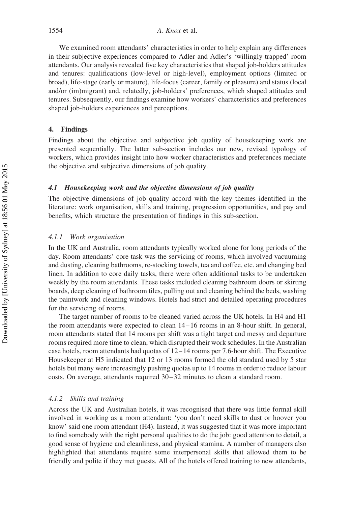We examined room attendants' characteristics in order to help explain any differences in their subjective experiences compared to Adler and Adler's 'willingly trapped' room attendants. Our analysis revealed five key characteristics that shaped job-holders attitudes and tenures: qualifications (low-level or high-level), employment options (limited or broad), life-stage (early or mature), life-focus (career, family or pleasure) and status (local and/or (im)migrant) and, relatedly, job-holders' preferences, which shaped attitudes and tenures. Subsequently, our findings examine how workers' characteristics and preferences shaped job-holders experiences and perceptions.

#### 4. Findings

Findings about the objective and subjective job quality of housekeeping work are presented sequentially. The latter sub-section includes our new, revised typology of workers, which provides insight into how worker characteristics and preferences mediate the objective and subjective dimensions of job quality.

#### 4.1 Housekeeping work and the objective dimensions of job quality

The objective dimensions of job quality accord with the key themes identified in the literature: work organisation, skills and training, progression opportunities, and pay and benefits, which structure the presentation of findings in this sub-section.

#### 4.1.1 Work organisation

In the UK and Australia, room attendants typically worked alone for long periods of the day. Room attendants' core task was the servicing of rooms, which involved vacuuming and dusting, cleaning bathrooms, re-stocking towels, tea and coffee, etc. and changing bed linen. In addition to core daily tasks, there were often additional tasks to be undertaken weekly by the room attendants. These tasks included cleaning bathroom doors or skirting boards, deep cleaning of bathroom tiles, pulling out and cleaning behind the beds, washing the paintwork and cleaning windows. Hotels had strict and detailed operating procedures for the servicing of rooms.

The target number of rooms to be cleaned varied across the UK hotels. In H4 and H1 the room attendants were expected to clean 14 – 16 rooms in an 8-hour shift. In general, room attendants stated that 14 rooms per shift was a tight target and messy and departure rooms required more time to clean, which disrupted their work schedules. In the Australian case hotels, room attendants had quotas of  $12-14$  rooms per 7.6-hour shift. The Executive Housekeeper at H5 indicated that 12 or 13 rooms formed the old standard used by 5 star hotels but many were increasingly pushing quotas up to 14 rooms in order to reduce labour costs. On average, attendants required 30 – 32 minutes to clean a standard room.

#### 4.1.2 Skills and training

Across the UK and Australian hotels, it was recognised that there was little formal skill involved in working as a room attendant: 'you don't need skills to dust or hoover you know' said one room attendant (H4). Instead, it was suggested that it was more important to find somebody with the right personal qualities to do the job: good attention to detail, a good sense of hygiene and cleanliness, and physical stamina. A number of managers also highlighted that attendants require some interpersonal skills that allowed them to be friendly and polite if they met guests. All of the hotels offered training to new attendants,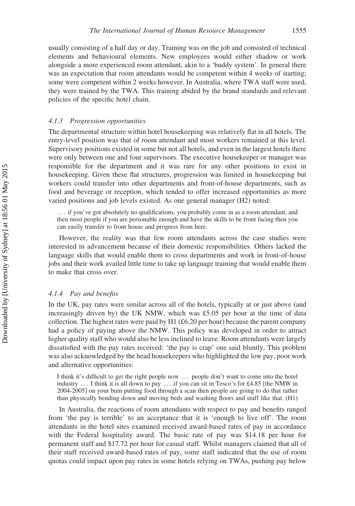usually consisting of a half day or day. Training was on the job and consisted of technical elements and behavioural elements. New employees would either shadow or work alongside a more experienced room attendant, akin to a 'buddy system'. In general there was an expectation that room attendants would be competent within 4 weeks of starting; some were competent within 2 weeks however. In Australia, where TWA staff were used, they were trained by the TWA. This training abided by the brand standards and relevant policies of the specific hotel chain.

#### 4.1.3 Progression opportunities

The departmental structure within hotel housekeeping was relatively flat in all hotels. The entry-level position was that of room attendant and most workers remained at this level. Supervisory positions existed in some but not all hotels, and even in the largest hotels there were only between one and four supervisors. The executive housekeeper or manager was responsible for the department and it was rare for any other positions to exist in housekeeping. Given these flat structures, progression was limited in housekeeping but workers could transfer into other departments and front-of-house departments, such as food and beverage or reception, which tended to offer increased opportunities as more varied positions and job levels existed. As one general manager (H2) noted:

... if you've got absolutely no qualifications, you probably come in as a room attendant, and then most people if you are personable enough and have the skills to be front facing then you can easily transfer to front house and progress from here.

However, the reality was that few room attendants across the case studies were interested in advancement because of their domestic responsibilities. Others lacked the language skills that would enable them to cross departments and work in front-of-house jobs and their work availed little time to take up language training that would enable them to make that cross over.

#### 4.1.4 Pay and benefits

In the UK, pay rates were similar across all of the hotels, typically at or just above (and increasingly driven by) the UK NMW, which was  $£5.05$  per hour at the time of data collection. The highest rates were paid by H1  $(£6.20$  per hour) because the parent company had a policy of paying above the NMW. This policy was developed in order to attract higher quality staff who would also be less inclined to leave. Room attendants were largely dissatisfied with the pay rates received: 'the pay is crap' one said bluntly. This problem was also acknowledged by the head housekeepers who highlighted the low pay, poor work and alternative opportunities:

I think it's difficult to get the right people now ... people don't want to come into the hotel industry ... I think it is all down to pay ... if you can sit in Tesco's for £4.85 [the NMW in 2004-2005] on your bum putting food through a scan then people are going to do that rather than physically bending down and moving beds and washing floors and stuff like that. (H1)

In Australia, the reactions of room attendants with respect to pay and benefits ranged from 'the pay is terrible' to an acceptance that it is 'enough to live off'. The room attendants in the hotel sites examined received award-based rates of pay in accordance with the Federal hospitality award. The basic rate of pay was \$14.18 per hour for permanent staff and \$17.72 per hour for casual staff. Whilst managers claimed that all of their staff received award-based rates of pay, some staff indicated that the use of room quotas could impact upon pay rates in some hotels relying on TWAs, pushing pay below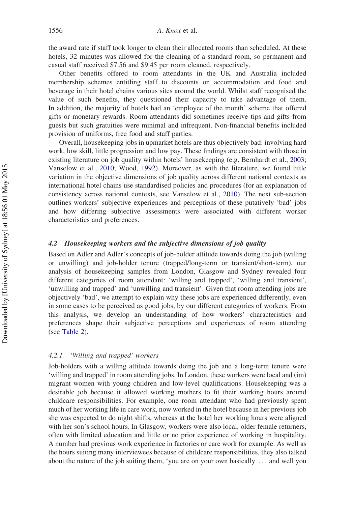the award rate if staff took longer to clean their allocated rooms than scheduled. At these hotels, 32 minutes was allowed for the cleaning of a standard room, so permanent and casual staff received \$7.56 and \$9.45 per room cleaned, respectively.

Other benefits offered to room attendants in the UK and Australia included membership schemes entitling staff to discounts on accommodation and food and beverage in their hotel chains various sites around the world. Whilst staff recognised the value of such benefits, they questioned their capacity to take advantage of them. In addition, the majority of hotels had an 'employee of the month' scheme that offered gifts or monetary rewards. Room attendants did sometimes receive tips and gifts from guests but such gratuities were minimal and infrequent. Non-financial benefits included provision of uniforms, free food and staff parties.

Overall, housekeeping jobs in upmarket hotels are thus objectively bad: involving hard work, low skill, little progression and low pay. These findings are consistent with those in existing literature on job quality within hotels' housekeeping (e.g. Bernhardt et al., [2003](#page-20-0); Vanselow et al., [2010;](#page-21-0) Wood, [1992](#page-22-0)). Moreover, as with the literature, we found little variation in the objective dimensions of job quality across different national contexts as international hotel chains use standardised policies and procedures (for an explanation of consistency across national contexts, see Vanselow et al., [2010](#page-21-0)). The next sub-section outlines workers' subjective experiences and perceptions of these putatively 'bad' jobs and how differing subjective assessments were associated with different worker characteristics and preferences.

#### 4.2 Housekeeping workers and the subjective dimensions of job quality

Based on Adler and Adler's concepts of job-holder attitude towards doing the job (willing or unwilling) and job-holder tenure (trapped/long-term or transient/short-term), our analysis of housekeeping samples from London, Glasgow and Sydney revealed four different categories of room attendant: 'willing and trapped', 'willing and transient', 'unwilling and trapped' and 'unwilling and transient'. Given that room attending jobs are objectively 'bad', we attempt to explain why these jobs are experienced differently, even in some cases to be perceived as good jobs, by our different categories of workers. From this analysis, we develop an understanding of how workers' characteristics and preferences shape their subjective perceptions and experiences of room attending (see [Table 2](#page-12-0)).

#### 4.2.1 'Willing and trapped' workers

Job-holders with a willing attitude towards doing the job and a long-term tenure were 'willing and trapped' in room attending jobs. In London, these workers were local and (im) migrant women with young children and low-level qualifications. Housekeeping was a desirable job because it allowed working mothers to fit their working hours around childcare responsibilities. For example, one room attendant who had previously spent much of her working life in care work, now worked in the hotel because in her previous job she was expected to do night shifts, whereas at the hotel her working hours were aligned with her son's school hours. In Glasgow, workers were also local, older female returners, often with limited education and little or no prior experience of working in hospitality. A number had previous work experience in factories or care work for example. As well as the hours suiting many interviewees because of childcare responsibilities, they also talked about the nature of the job suiting them, 'you are on your own basically ... and well you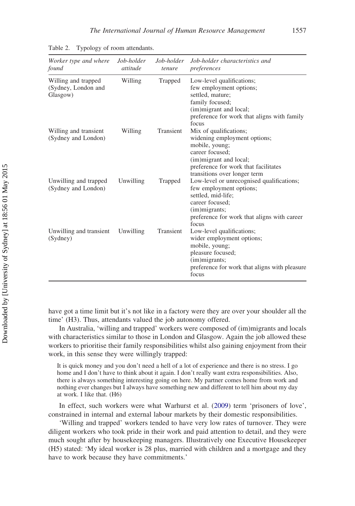| Worker type and where<br>found                         | Job-holder<br>attitude | Job-holder<br>tenure | Job-holder characteristics and<br>preferences                                                                                                                                                  |
|--------------------------------------------------------|------------------------|----------------------|------------------------------------------------------------------------------------------------------------------------------------------------------------------------------------------------|
| Willing and trapped<br>(Sydney, London and<br>Glasgow) | Willing                | Trapped              | Low-level qualifications;<br>few employment options;<br>settled, mature;<br>family focused;<br>(im) migrant and local;<br>preference for work that aligns with family<br>focus                 |
| Willing and transient<br>(Sydney and London)           | Willing                | Transient            | Mix of qualifications;<br>widening employment options;<br>mobile, young;<br>career focused:<br>(im) migrant and local;<br>preference for work that facilitates<br>transitions over longer term |
| Unwilling and trapped<br>(Sydney and London)           | Unwilling              | Trapped              | Low-level or unrecognised qualifications;<br>few employment options;<br>settled, mid-life;<br>career focused:<br>$(im)$ migrants;<br>preference for work that aligns with career<br>focus      |
| Unwilling and transient<br>(Sydney)                    | Unwilling              | Transient            | Low-level qualifications;<br>wider employment options;<br>mobile, young;<br>pleasure focused;<br>$(im)$ migrants;<br>preference for work that aligns with pleasure<br>focus                    |

<span id="page-12-0"></span>Table 2. Typology of room attendants.

have got a time limit but it's not like in a factory were they are over your shoulder all the time' (H3). Thus, attendants valued the job autonomy offered.

In Australia, 'willing and trapped' workers were composed of (im)migrants and locals with characteristics similar to those in London and Glasgow. Again the job allowed these workers to prioritise their family responsibilities whilst also gaining enjoyment from their work, in this sense they were willingly trapped:

It is quick money and you don't need a hell of a lot of experience and there is no stress. I go home and I don't have to think about it again. I don't really want extra responsibilities. Also, there is always something interesting going on here. My partner comes home from work and nothing ever changes but I always have something new and different to tell him about my day at work. I like that. (H6)

In effect, such workers were what Warhurst et al. ([2009](#page-22-0)) term 'prisoners of love', constrained in internal and external labour markets by their domestic responsibilities.

'Willing and trapped' workers tended to have very low rates of turnover. They were diligent workers who took pride in their work and paid attention to detail, and they were much sought after by housekeeping managers. Illustratively one Executive Housekeeper (H5) stated: 'My ideal worker is 28 plus, married with children and a mortgage and they have to work because they have commitments.'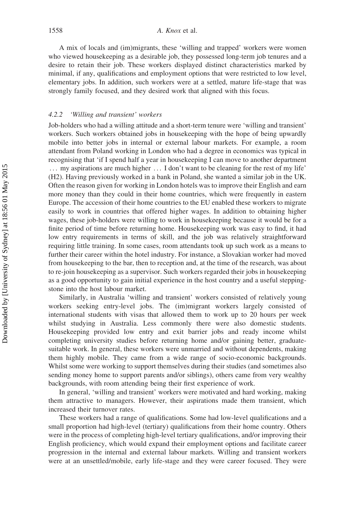A mix of locals and (im)migrants, these 'willing and trapped' workers were women who viewed housekeeping as a desirable job, they possessed long-term job tenures and a desire to retain their job. These workers displayed distinct characteristics marked by minimal, if any, qualifications and employment options that were restricted to low level, elementary jobs. In addition, such workers were at a settled, mature life-stage that was strongly family focused, and they desired work that aligned with this focus.

#### 4.2.2 'Willing and transient' workers

Job-holders who had a willing attitude and a short-term tenure were 'willing and transient' workers. Such workers obtained jobs in housekeeping with the hope of being upwardly mobile into better jobs in internal or external labour markets. For example, a room attendant from Poland working in London who had a degree in economics was typical in recognising that 'if I spend half a year in housekeeping I can move to another department ... my aspirations are much higher ... I don't want to be cleaning for the rest of my life' (H2). Having previously worked in a bank in Poland, she wanted a similar job in the UK. Often the reason given for working in London hotels was to improve their English and earn more money than they could in their home countries, which were frequently in eastern Europe. The accession of their home countries to the EU enabled these workers to migrate easily to work in countries that offered higher wages. In addition to obtaining higher wages, these job-holders were willing to work in housekeeping because it would be for a finite period of time before returning home. Housekeeping work was easy to find, it had low entry requirements in terms of skill, and the job was relatively straightforward requiring little training. In some cases, room attendants took up such work as a means to further their career within the hotel industry. For instance, a Slovakian worker had moved from housekeeping to the bar, then to reception and, at the time of the research, was about to re-join housekeeping as a supervisor. Such workers regarded their jobs in housekeeping as a good opportunity to gain initial experience in the host country and a useful steppingstone into the host labour market.

Similarly, in Australia 'willing and transient' workers consisted of relatively young workers seeking entry-level jobs. The (im)migrant workers largely consisted of international students with visas that allowed them to work up to 20 hours per week whilst studying in Australia. Less commonly there were also domestic students. Housekeeping provided low entry and exit barrier jobs and ready income whilst completing university studies before returning home and/or gaining better, graduatesuitable work. In general, these workers were unmarried and without dependents, making them highly mobile. They came from a wide range of socio-economic backgrounds. Whilst some were working to support themselves during their studies (and sometimes also sending money home to support parents and/or siblings), others came from very wealthy backgrounds, with room attending being their first experience of work.

In general, 'willing and transient' workers were motivated and hard working, making them attractive to managers. However, their aspirations made them transient, which increased their turnover rates.

These workers had a range of qualifications. Some had low-level qualifications and a small proportion had high-level (tertiary) qualifications from their home country. Others were in the process of completing high-level tertiary qualifications, and/or improving their English proficiency, which would expand their employment options and facilitate career progression in the internal and external labour markets. Willing and transient workers were at an unsettled/mobile, early life-stage and they were career focused. They were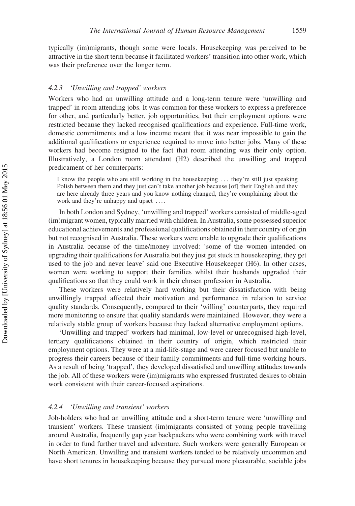typically (im)migrants, though some were locals. Housekeeping was perceived to be attractive in the short term because it facilitated workers' transition into other work, which was their preference over the longer term.

#### 4.2.3 'Unwilling and trapped' workers

Workers who had an unwilling attitude and a long-term tenure were 'unwilling and trapped' in room attending jobs. It was common for these workers to express a preference for other, and particularly better, job opportunities, but their employment options were restricted because they lacked recognised qualifications and experience. Full-time work, domestic commitments and a low income meant that it was near impossible to gain the additional qualifications or experience required to move into better jobs. Many of these workers had become resigned to the fact that room attending was their only option. Illustratively, a London room attendant (H2) described the unwilling and trapped predicament of her counterparts:

I know the people who are still working in the housekeeping ... they're still just speaking Polish between them and they just can't take another job because [of] their English and they are here already three years and you know nothing changed, they're complaining about the work and they're unhappy and upset ... .

In both London and Sydney, 'unwilling and trapped' workers consisted of middle-aged (im)migrant women, typically married with children. In Australia, some possessed superior educational achievements and professional qualifications obtained in their country of origin but not recognised in Australia. These workers were unable to upgrade their qualifications in Australia because of the time/money involved: 'some of the women intended on upgrading their qualifications for Australia but they just get stuck in housekeeping, they get used to the job and never leave' said one Executive Housekeeper (H6). In other cases, women were working to support their families whilst their husbands upgraded their qualifications so that they could work in their chosen profession in Australia.

These workers were relatively hard working but their dissatisfaction with being unwillingly trapped affected their motivation and performance in relation to service quality standards. Consequently, compared to their 'willing' counterparts, they required more monitoring to ensure that quality standards were maintained. However, they were a relatively stable group of workers because they lacked alternative employment options.

'Unwilling and trapped' workers had minimal, low-level or unrecognised high-level, tertiary qualifications obtained in their country of origin, which restricted their employment options. They were at a mid-life-stage and were career focused but unable to progress their careers because of their family commitments and full-time working hours. As a result of being 'trapped', they developed dissatisfied and unwilling attitudes towards the job. All of these workers were (im)migrants who expressed frustrated desires to obtain work consistent with their career-focused aspirations.

#### 4.2.4 'Unwilling and transient' workers

Job-holders who had an unwilling attitude and a short-term tenure were 'unwilling and transient' workers. These transient (im)migrants consisted of young people travelling around Australia, frequently gap year backpackers who were combining work with travel in order to fund further travel and adventure. Such workers were generally European or North American. Unwilling and transient workers tended to be relatively uncommon and have short tenures in housekeeping because they pursued more pleasurable, sociable jobs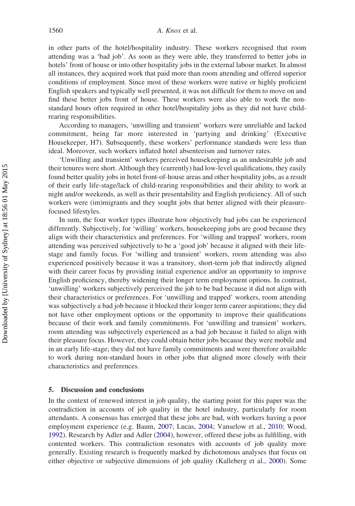in other parts of the hotel/hospitality industry. These workers recognised that room attending was a 'bad job'. As soon as they were able, they transferred to better jobs in hotels' front of house or into other hospitality jobs in the external labour market. In almost all instances, they acquired work that paid more than room attending and offered superior conditions of employment. Since most of these workers were native or highly proficient English speakers and typically well presented, it was not difficult for them to move on and find these better jobs front of house. These workers were also able to work the nonstandard hours often required in other hotel/hospitality jobs as they did not have childrearing responsibilities.

According to managers, 'unwilling and transient' workers were unreliable and lacked commitment, being far more interested in 'partying and drinking' (Executive Housekeeper, H7). Subsequently, these workers' performance standards were less than ideal. Moreover, such workers inflated hotel absenteeism and turnover rates.

'Unwilling and transient' workers perceived housekeeping as an undesirable job and their tenures were short. Although they (currently) had low-level qualifications, they easily found better quality jobs in hotel front-of-house areas and other hospitality jobs, as a result of their early life-stage/lack of child-rearing responsibilities and their ability to work at night and/or weekends, as well as their presentability and English proficiency. All of such workers were (im)migrants and they sought jobs that better aligned with their pleasurefocused lifestyles.

In sum, the four worker types illustrate how objectively bad jobs can be experienced differently. Subjectively, for 'willing' workers, housekeeping jobs are good because they align with their characteristics and preferences. For 'willing and trapped' workers, room attending was perceived subjectively to be a 'good job' because it aligned with their lifestage and family focus. For 'willing and transient' workers, room attending was also experienced positively because it was a transitory, short-term job that indirectly aligned with their career focus by providing initial experience and/or an opportunity to improve English proficiency, thereby widening their longer term employment options. In contrast, 'unwilling' workers subjectively perceived the job to be bad because it did not align with their characteristics or preferences. For 'unwilling and trapped' workers, room attending was subjectively a bad job because it blocked their longer term career aspirations; they did not have other employment options or the opportunity to improve their qualifications because of their work and family commitments. For 'unwilling and transient' workers, room attending was subjectively experienced as a bad job because it failed to align with their pleasure focus. However, they could obtain better jobs because they were mobile and in an early life-stage; they did not have family commitments and were therefore available to work during non-standard hours in other jobs that aligned more closely with their characteristics and preferences.

#### 5. Discussion and conclusions

In the context of renewed interest in job quality, the starting point for this paper was the contradiction in accounts of job quality in the hotel industry, particularly for room attendants. A consensus has emerged that these jobs are bad, with workers having a poor employment experience (e.g. Baum, [2007](#page-20-0); Lucas, [2004;](#page-21-0) Vanselow et al., [2010;](#page-21-0) Wood, [1992](#page-22-0)). Research by Adler and Adler [\(2004](#page-20-0)), however, offered these jobs as fulfilling, with contented workers. This contradiction resonates with accounts of job quality more generally. Existing research is frequently marked by dichotomous analyses that focus on either objective or subjective dimensions of job quality (Kalleberg et al., [2000\)](#page-21-0). Some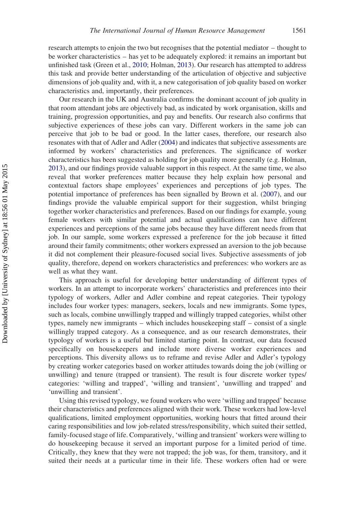research attempts to enjoin the two but recognises that the potential mediator – thought to be worker characteristics – has yet to be adequately explored: it remains an important but unfinished task (Green et al., [2010](#page-20-0); Holman, [2013](#page-21-0)). Our research has attempted to address this task and provide better understanding of the articulation of objective and subjective dimensions of job quality and, with it, a new categorisation of job quality based on worker characteristics and, importantly, their preferences.

Our research in the UK and Australia confirms the dominant account of job quality in that room attendant jobs are objectively bad, as indicated by work organisation, skills and training, progression opportunities, and pay and benefits. Our research also confirms that subjective experiences of these jobs can vary. Different workers in the same job can perceive that job to be bad or good. In the latter cases, therefore, our research also resonates with that of Adler and Adler ([2004\)](#page-20-0) and indicates that subjective assessments are informed by workers' characteristics and preferences. The significance of worker characteristics has been suggested as holding for job quality more generally (e.g. Holman, [2013](#page-21-0)), and our findings provide valuable support in this respect. At the same time, we also reveal that worker preferences matter because they help explain how personal and contextual factors shape employees' experiences and perceptions of job types. The potential importance of preferences has been signalled by Brown et al. ([2007\)](#page-20-0), and our findings provide the valuable empirical support for their suggestion, whilst bringing together worker characteristics and preferences. Based on our findings for example, young female workers with similar potential and actual qualifications can have different experiences and perceptions of the same jobs because they have different needs from that job. In our sample, some workers expressed a preference for the job because it fitted around their family commitments; other workers expressed an aversion to the job because it did not complement their pleasure-focused social lives. Subjective assessments of job quality, therefore, depend on workers characteristics and preferences: who workers are as well as what they want.

This approach is useful for developing better understanding of different types of workers. In an attempt to incorporate workers' characteristics and preferences into their typology of workers, Adler and Adler combine and repeat categories. Their typology includes four worker types: managers, seekers, locals and new immigrants. Some types, such as locals, combine unwillingly trapped and willingly trapped categories, whilst other types, namely new immigrants – which includes housekeeping staff – consist of a single willingly trapped category. As a consequence, and as our research demonstrates, their typology of workers is a useful but limited starting point. In contrast, our data focused specifically on housekeepers and include more diverse worker experiences and perceptions. This diversity allows us to reframe and revise Adler and Adler's typology by creating worker categories based on worker attitudes towards doing the job (willing or unwilling) and tenure (trapped or transient). The result is four discrete worker types/ categories: 'willing and trapped', 'willing and transient', 'unwilling and trapped' and 'unwilling and transient'.

Using this revised typology, we found workers who were 'willing and trapped' because their characteristics and preferences aligned with their work. These workers had low-level qualifications, limited employment opportunities, working hours that fitted around their caring responsibilities and low job-related stress/responsibility, which suited their settled, family-focused stage of life. Comparatively, 'willing and transient' workers were willing to do housekeeping because it served an important purpose for a limited period of time. Critically, they knew that they were not trapped; the job was, for them, transitory, and it suited their needs at a particular time in their life. These workers often had or were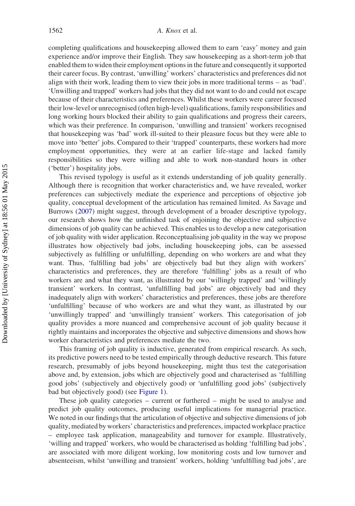completing qualifications and housekeeping allowed them to earn 'easy' money and gain experience and/or improve their English. They saw housekeeping as a short-term job that enabled them to widen their employment options in the future and consequently it supported their career focus. By contrast, 'unwilling' workers' characteristics and preferences did not align with their work, leading them to view their jobs in more traditional terms – as 'bad'. 'Unwilling and trapped' workers had jobs that they did not want to do and could not escape because of their characteristics and preferences. Whilst these workers were career focused their low-level or unrecognised (often high-level) qualifications, family responsibilities and long working hours blocked their ability to gain qualifications and progress their careers, which was their preference. In comparison, 'unwilling and transient' workers recognised that housekeeping was 'bad' work ill-suited to their pleasure focus but they were able to move into 'better' jobs. Compared to their 'trapped' counterparts, these workers had more employment opportunities, they were at an earlier life-stage and lacked family responsibilities so they were willing and able to work non-standard hours in other ('better') hospitality jobs.

This revised typology is useful as it extends understanding of job quality generally. Although there is recognition that worker characteristics and, we have revealed, worker preferences can subjectively mediate the experience and perceptions of objective job quality, conceptual development of the articulation has remained limited. As Savage and Burrows [\(2007](#page-21-0)) might suggest, through development of a broader descriptive typology, our research shows how the unfinished task of enjoining the objective and subjective dimensions of job quality can be achieved. This enables us to develop a new categorisation of job quality with wider application. Reconceptualising job quality in the way we propose illustrates how objectively bad jobs, including housekeeping jobs, can be assessed subjectively as fulfilling or unfulfilling, depending on who workers are and what they want. Thus, 'fulfilling bad jobs' are objectively bad but they align with workers' characteristics and preferences, they are therefore 'fulfilling' jobs as a result of who workers are and what they want, as illustrated by our 'willingly trapped' and 'willingly transient' workers. In contrast, 'unfulfilling bad jobs' are objectively bad and they inadequately align with workers' characteristics and preferences, these jobs are therefore 'unfulfilling' because of who workers are and what they want, as illustrated by our 'unwillingly trapped' and 'unwillingly transient' workers. This categorisation of job quality provides a more nuanced and comprehensive account of job quality because it rightly maintains and incorporates the objective and subjective dimensions and shows how worker characteristics and preferences mediate the two.

This framing of job quality is inductive, generated from empirical research. As such, its predictive powers need to be tested empirically through deductive research. This future research, presumably of jobs beyond housekeeping, might thus test the categorisation above and, by extension, jobs which are objectively good and characterised as 'fulfilling good jobs' (subjectively and objectively good) or 'unfulfilling good jobs' (subjectively bad but objectively good) (see [Figure 1\)](#page-18-0).

These job quality categories – current or furthered – might be used to analyse and predict job quality outcomes, producing useful implications for managerial practice. We noted in our findings that the articulation of objective and subjective dimensions of job quality, mediated by workers' characteristics and preferences, impacted workplace practice – employee task application, manageability and turnover for example. Illustratively, 'willing and trapped' workers, who would be characterised as holding 'fulfilling bad jobs', are associated with more diligent working, low monitoring costs and low turnover and absenteeism, whilst 'unwilling and transient' workers, holding 'unfulfilling bad jobs', are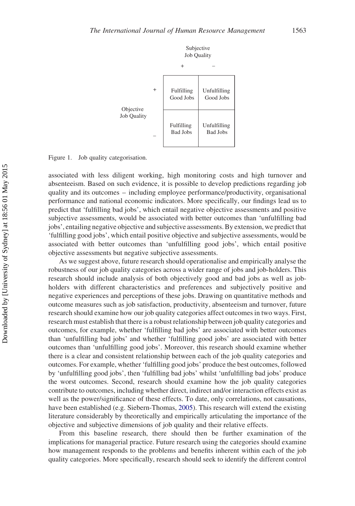<span id="page-18-0"></span>

Figure 1. Job quality categorisation.

associated with less diligent working, high monitoring costs and high turnover and absenteeism. Based on such evidence, it is possible to develop predictions regarding job quality and its outcomes – including employee performance/productivity, organisational performance and national economic indicators. More specifically, our findings lead us to predict that 'fulfilling bad jobs', which entail negative objective assessments and positive subjective assessments, would be associated with better outcomes than 'unfulfilling bad jobs', entailing negative objective and subjective assessments. By extension, we predict that 'fulfilling good jobs', which entail positive objective and subjective assessments, would be associated with better outcomes than 'unfulfilling good jobs', which entail positive objective assessments but negative subjective assessments.

As we suggest above, future research should operationalise and empirically analyse the robustness of our job quality categories across a wider range of jobs and job-holders. This research should include analysis of both objectively good and bad jobs as well as jobholders with different characteristics and preferences and subjectively positive and negative experiences and perceptions of these jobs. Drawing on quantitative methods and outcome measures such as job satisfaction, productivity, absenteeism and turnover, future research should examine how our job quality categories affect outcomes in two ways. First, research must establish that there is a robust relationship between job quality categories and outcomes, for example, whether 'fulfilling bad jobs' are associated with better outcomes than 'unfulfilling bad jobs' and whether 'fulfilling good jobs' are associated with better outcomes than 'unfulfilling good jobs'. Moreover, this research should examine whether there is a clear and consistent relationship between each of the job quality categories and outcomes. For example, whether 'fulfilling good jobs' produce the best outcomes, followed by 'unfulfilling good jobs', then 'fulfilling bad jobs' whilst 'unfulfilling bad jobs' produce the worst outcomes. Second, research should examine how the job quality categories contribute to outcomes, including whether direct, indirect and/or interaction effects exist as well as the power/significance of these effects. To date, only correlations, not causations, have been established (e.g. Siebern-Thomas, [2005](#page-21-0)). This research will extend the existing literature considerably by theoretically and empirically articulating the importance of the objective and subjective dimensions of job quality and their relative effects.

From this baseline research, there should then be further examination of the implications for managerial practice. Future research using the categories should examine how management responds to the problems and benefits inherent within each of the job quality categories. More specifically, research should seek to identify the different control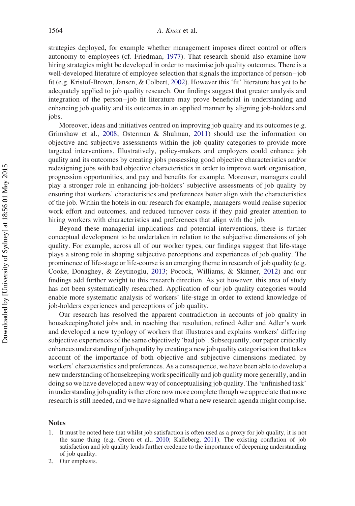<span id="page-19-0"></span>strategies deployed, for example whether management imposes direct control or offers autonomy to employees (cf. Friedman, [1977](#page-20-0)). That research should also examine how hiring strategies might be developed in order to maximise job quality outcomes. There is a well-developed literature of employee selection that signals the importance of person –job fit (e.g. Kristof-Brown, Jansen, & Colbert, [2002](#page-21-0)). However this 'fit' literature has yet to be adequately applied to job quality research. Our findings suggest that greater analysis and integration of the person–job fit literature may prove beneficial in understanding and enhancing job quality and its outcomes in an applied manner by aligning job-holders and jobs.

Moreover, ideas and initiatives centred on improving job quality and its outcomes (e.g. Grimshaw et al., [2008;](#page-20-0) Osterman & Shulman, [2011](#page-21-0)) should use the information on objective and subjective assessments within the job quality categories to provide more targeted interventions. Illustratively, policy-makers and employers could enhance job quality and its outcomes by creating jobs possessing good objective characteristics and/or redesigning jobs with bad objective characteristics in order to improve work organisation, progression opportunities, and pay and benefits for example. Moreover, managers could play a stronger role in enhancing job-holders' subjective assessments of job quality by ensuring that workers' characteristics and preferences better align with the characteristics of the job. Within the hotels in our research for example, managers would realise superior work effort and outcomes, and reduced turnover costs if they paid greater attention to hiring workers with characteristics and preferences that align with the job.

Beyond these managerial implications and potential interventions, there is further conceptual development to be undertaken in relation to the subjective dimensions of job quality. For example, across all of our worker types, our findings suggest that life-stage plays a strong role in shaping subjective perceptions and experiences of job quality. The prominence of life-stage or life-course is an emerging theme in research of job quality (e.g. Cooke, Donaghey, & Zeytinoglu, [2013](#page-20-0); Pocock, Williams, & Skinner, [2012\)](#page-21-0) and our findings add further weight to this research direction. As yet however, this area of study has not been systematically researched. Application of our job quality categories would enable more systematic analysis of workers' life-stage in order to extend knowledge of job-holders experiences and perceptions of job quality.

Our research has resolved the apparent contradiction in accounts of job quality in housekeeping/hotel jobs and, in reaching that resolution, refined Adler and Adler's work and developed a new typology of workers that illustrates and explains workers' differing subjective experiences of the same objectively 'bad job'. Subsequently, our paper critically enhances understanding of job quality by creating a new job quality categorisation that takes account of the importance of both objective and subjective dimensions mediated by workers' characteristics and preferences. As a consequence, we have been able to develop a new understanding of housekeeping work specifically and job quality more generally, and in doing so we have developed a new way of conceptualising job quality. The 'unfinished task' in understanding job quality is therefore now more complete though we appreciate that more research is still needed, and we have signalled what a new research agenda might comprise.

#### Notes

- 1. It must be noted here that whilst job satisfaction is often used as a proxy for job quality, it is not the same thing (e.g. Green et al., [2010;](#page-20-0) Kalleberg, [2011\)](#page-21-0). The existing conflation of job satisfaction and job quality lends further credence to the importance of deepening understanding of job quality.
- 2. Our emphasis.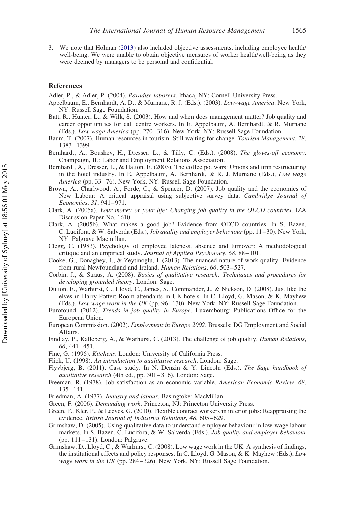<span id="page-20-0"></span>3. We note that Holman ([2013\)](#page-21-0) also included objective assessments, including employee health/ well-being. We were unable to obtain objective measures of worker health/well-being as they were deemed by managers to be personal and confidential.

#### References

Adler, P., & Adler, P. (2004). *Paradise laborers*. Ithaca, NY: Cornell University Press.

- Appelbaum, E., Bernhardt, A. D., & Murnane, R. J. (Eds.). (2003). Low-wage America. New York, NY: Russell Sage Foundation.
- Batt, R., Hunter, L., & Wilk, S. (2003). How and when does management matter? Job quality and career opportunities for call centre workers. In E. Appelbaum, A. Bernhardt, & R. Murnane (Eds.), Low-wage America (pp. 270–316). New York, NY: Russell Sage Foundation.
- Baum, T. (2007). Human resources in tourism: Still waiting for change. Tourism Management, 28, 1383– 1399.
- Bernhardt, A., Boushey, H., Dresser, L., & Tilly, C. (Eds.). (2008). The gloves-off economy. Champaign, IL: Labor and Employment Relations Association.
- Bernhardt, A., Dresser, L., & Hatton, E. (2003). The coffee pot wars: Unions and firm restructuring in the hotel industry. In E. Appelbaum, A. Bernhardt, & R. J. Murnane (Eds.), Low wage America (pp. 33–76). New York, NY: Russell Sage Foundation.
- Brown, A., Charlwood, A., Forde, C., & Spencer, D. (2007). Job quality and the economics of New Labour: A critical appraisal using subjective survey data. Cambridge Journal of Economics, 31, 941-971.
- Clark, A. (2005a). Your money or your life: Changing job quality in the OECD countries. IZA Discussion Paper No. 1610.
- Clark, A. (2005b). What makes a good job? Evidence from OECD countries. In S. Bazen, C. Lucifora, & W. Salverda (Eds.), Job quality and employer behaviour (pp. 11 – 30). New York, NY: Palgrave Macmillan.
- Clegg, C. (1983). Psychology of employee lateness, absence and turnover: A methodological critique and an empirical study. Journal of Applied Psychology, 68, 88-101.
- Cooke, G., Donaghey, J., & Zeytinoglu, I. (2013). The nuanced nature of work quality: Evidence from rural Newfoundland and Ireland. Human Relations, 66, 503–527.
- Corbin, J., & Straus, A. (2008). Basics of qualitative research: Techniques and procedures for developing grounded theory. London: Sage.
- Dutton, E., Warhurst, C., Lloyd, C., James, S., Commander, J., & Nickson, D. (2008). Just like the elves in Harry Potter: Room attendants in UK hotels. In C. Lloyd, G. Mason, & K. Mayhew (Eds.), Low wage work in the UK (pp. 96–130). New York, NY: Russell Sage Foundation.
- Eurofound. (2012). Trends in job quality in Europe. Luxembourg: Publications Office for the European Union.
- European Commission. (2002). Employment in Europe 2002. Brussels: DG Employment and Social Affairs.
- Findlay, P., Kalleberg, A., & Warhurst, C. (2013). The challenge of job quality. Human Relations, 66, 441– 451.
- Fine, G. (1996). Kitchens. London: University of California Press.
- Flick, U. (1998). An introduction to qualitative research. London: Sage.
- Flyvbjerg, B. (2011). Case study. In N. Denzin & Y. Lincoln (Eds.), The Sage handbook of qualitative research (4th ed., pp. 301–316). London: Sage.
- Freeman, R. (1978). Job satisfaction as an economic variable. American Economic Review, 68, 135– 141.
- Friedman, A. (1977). Industry and labour. Basingtoke: MacMillan.
- Green, F. (2006). Demanding work. Princeton, NJ: Princeton University Press.
- Green, F., Kler, P., & Leeves, G. (2010). Flexible contract workers in inferior jobs: Reappraising the evidence. British Journal of Industrial Relations, 48, 605–629.
- Grimshaw, D. (2005). Using qualitative data to understand employer behaviour in low-wage labour markets. In S. Bazen, C. Lucifora, & W. Salverda (Eds.), *Job quality and employer behaviour* (pp. 111– 131). London: Palgrave.
- Grimshaw, D., Lloyd, C., & Warhurst, C. (2008). Low wage work in the UK: A synthesis of findings, the institutional effects and policy responses. In C. Lloyd, G. Mason, & K. Mayhew (Eds.), Low wage work in the UK (pp. 284–326). New York, NY: Russell Sage Foundation.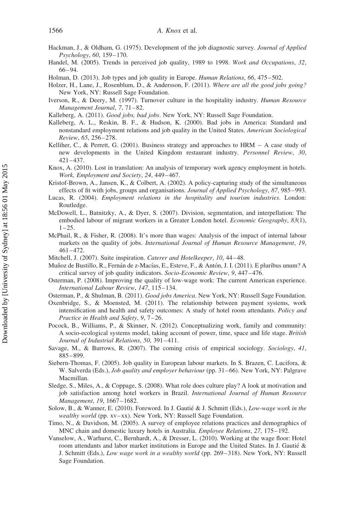- <span id="page-21-0"></span>Hackman, J., & Oldham, G. (1975). Development of the job diagnostic survey. Journal of Applied Psychology, 60, 159– 170.
- Handel, M. (2005). Trends in perceived job quality, 1989 to 1998. Work and Occupations, 32, 66 – 94.
- Holman, D. (2013). Job types and job quality in Europe. Human Relations, 66, 475–502.
- Holzer, H., Lane, J., Rosenblum, D., & Andersson, F. (2011). Where are all the good jobs going? New York, NY: Russell Sage Foundation.
- Iverson, R., & Deery, M. (1997). Turnover culture in the hospitality industry. Human Resource Management Journal, 7, 71 – 82.
- Kalleberg, A. (2011). Good jobs, bad jobs. New York, NY: Russell Sage Foundation.
- Kalleberg, A. L., Reskin, B. F., & Hudson, K. (2000). Bad jobs in America: Standard and nonstandard employment relations and job quality in the United States. American Sociological Review, 65, 256– 278.
- Kelliher, C., & Perrett, G. (2001). Business strategy and approaches to  $HRM A$  case study of new developments in the United Kingdom restaurant industry. Personnel Review, 30,  $421 - 437$ .
- Knox, A. (2010). Lost in translation: An analysis of temporary work agency employment in hotels. Work, Employment and Society, 24, 449-467.
- Kristof-Brown, A., Jansen, K., & Colbert, A. (2002). A policy-capturing study of the simultaneous effects of fit with jobs, groups and organisations. Journal of Applied Psychology, 87, 985–993.
- Lucas, R. (2004). Employment relations in the hospitality and tourism industries. London: Routledge.
- McDowell, L., Batnitzky, A., & Dyer, S. (2007). Division, segmentation, and interpellation: The embodied labour of migrant workers in a Greater London hotel. Economic Geography, 83(1),  $1 - 25.$
- McPhail, R., & Fisher, R. (2008). It's more than wages: Analysis of the impact of internal labour markets on the quality of jobs. International Journal of Human Resource Management, 19,  $461 - 472.$
- Mitchell, J. (2007). Suite inspiration. Caterer and Hotelkeeper, 10, 44 48.
- Muñoz de Bustillo, R., Fernán de z-Macías, E., Esteve, F., & Antón, J. I. (2011). E pluribus unum? A critical survey of job quality indicators. Socio-Economic Review, 9, 447–476.
- Osterman, P. (2008). Improving the quality of low-wage work: The current American experience. International Labour Review, 147, 115– 134.
- Osterman, P., & Shulman, B. (2011). Good jobs America. New York, NY: Russell Sage Foundation.
- Oxenbridge, S., & Moensted, M. (2011). The relationship between payment systems, work intensification and health and safety outcomes: A study of hotel room attendants. Policy and Practice in Health and Safety, 9, 7-26.
- Pocock, B., Williams, P., & Skinner, N. (2012). Conceptualizing work, family and community: A socio-ecological systems model, taking account of power, time, space and life stage. British Journal of Industrial Relations, 50, 391-411.
- Savage, M., & Burrows, R. (2007). The coming crisis of empirical sociology. Sociology, 41, 885– 899.
- Siebern-Thomas, F. (2005). Job quality in European labour markets. In S. Brazen, C. Lucifora, & W. Salverda (Eds.), *Job quality and employer behaviour* (pp. 31–66). New York, NY: Palgrave Macmillan.
- Sledge, S., Miles, A., & Coppage, S. (2008). What role does culture play? A look at motivation and job satisfaction among hotel workers in Brazil. International Journal of Human Resource Management, 19, 1667– 1682.
- Solow, B., & Wanner, E. (2010). Foreword. In J. Gautié & J. Schmitt (Eds.), Low-wage work in the wealthy world (pp. xv-xx). New York, NY: Russell Sage Foundation.
- Timo, N., & Davidson, M. (2005). A survey of employee relations practices and demographics of MNC chain and domestic luxury hotels in Australia. Employee Relations, 27, 175– 192.
- Vanselow, A., Warhurst, C., Bernhardt, A., & Dresser, L. (2010). Working at the wage floor: Hotel room attendants and labor market institutions in Europe and the United States. In J. Gautié & J. Schmitt (Eds.), Low wage work in a wealthy world (pp. 269– 318). New York, NY: Russell Sage Foundation.